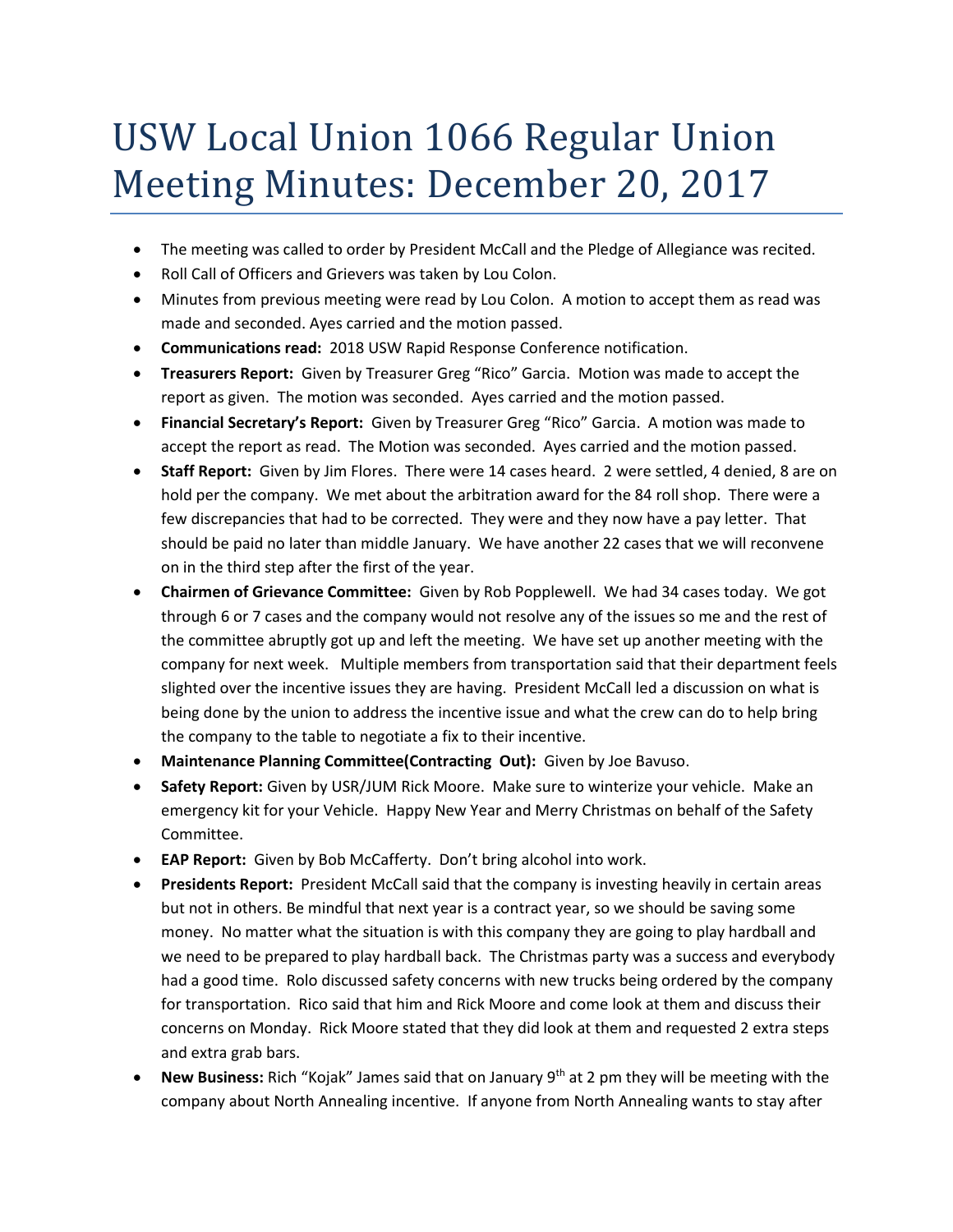## USW Local Union 1066 Regular Union Meeting Minutes: December 20, 2017

- The meeting was called to order by President McCall and the Pledge of Allegiance was recited.
- Roll Call of Officers and Grievers was taken by Lou Colon.
- Minutes from previous meeting were read by Lou Colon. A motion to accept them as read was made and seconded. Ayes carried and the motion passed.
- **Communications read:** 2018 USW Rapid Response Conference notification.
- **Treasurers Report:** Given by Treasurer Greg "Rico" Garcia. Motion was made to accept the report as given. The motion was seconded. Ayes carried and the motion passed.
- **Financial Secretary's Report:** Given by Treasurer Greg "Rico" Garcia. A motion was made to accept the report as read. The Motion was seconded. Ayes carried and the motion passed.
- **Staff Report:** Given by Jim Flores. There were 14 cases heard. 2 were settled, 4 denied, 8 are on hold per the company. We met about the arbitration award for the 84 roll shop. There were a few discrepancies that had to be corrected. They were and they now have a pay letter. That should be paid no later than middle January. We have another 22 cases that we will reconvene on in the third step after the first of the year.
- **Chairmen of Grievance Committee:** Given by Rob Popplewell. We had 34 cases today. We got through 6 or 7 cases and the company would not resolve any of the issues so me and the rest of the committee abruptly got up and left the meeting. We have set up another meeting with the company for next week. Multiple members from transportation said that their department feels slighted over the incentive issues they are having. President McCall led a discussion on what is being done by the union to address the incentive issue and what the crew can do to help bring the company to the table to negotiate a fix to their incentive.
- **Maintenance Planning Committee(Contracting Out):** Given by Joe Bavuso.
- **Safety Report:** Given by USR/JUM Rick Moore. Make sure to winterize your vehicle. Make an emergency kit for your Vehicle. Happy New Year and Merry Christmas on behalf of the Safety Committee.
- **EAP Report:** Given by Bob McCafferty. Don't bring alcohol into work.
- **Presidents Report:** President McCall said that the company is investing heavily in certain areas but not in others. Be mindful that next year is a contract year, so we should be saving some money. No matter what the situation is with this company they are going to play hardball and we need to be prepared to play hardball back. The Christmas party was a success and everybody had a good time. Rolo discussed safety concerns with new trucks being ordered by the company for transportation. Rico said that him and Rick Moore and come look at them and discuss their concerns on Monday. Rick Moore stated that they did look at them and requested 2 extra steps and extra grab bars.
- **New Business:** Rich "Kojak" James said that on January 9th at 2 pm they will be meeting with the company about North Annealing incentive. If anyone from North Annealing wants to stay after